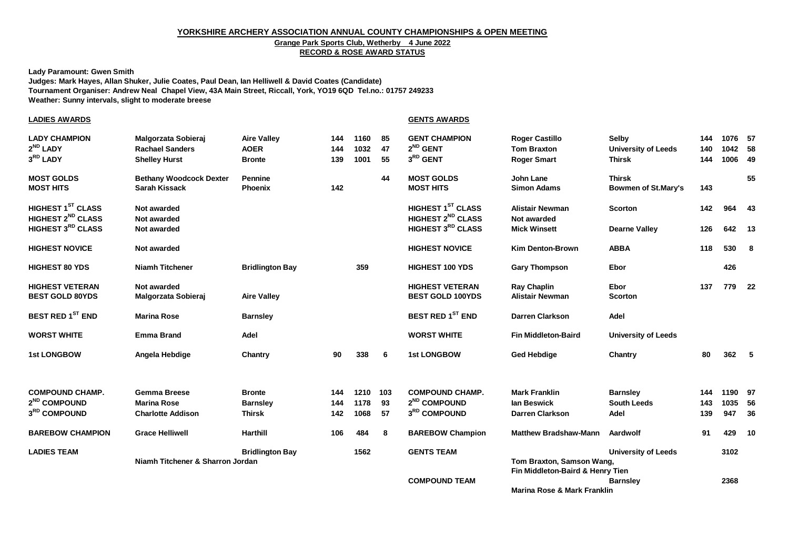#### **YORKSHIRE ARCHERY ASSOCIATION ANNUAL COUNTY CHAMPIONSHIPS & OPEN MEETING**

# **Grange Park Sports Club, Wetherby 4 June 2022**

## **RECORD & ROSE AWARD STATUS**

**Lady Paramount: Gwen Smith**

**Judges: Mark Hayes, Allan Shuker, Julie Coates, Paul Dean, Ian Helliwell & David Coates (Candidate) Tournament Organiser: Andrew Neal Chapel View, 43A Main Street, Riccall, York, YO19 6QD Tel.no.: 01757 249233 Weather: Sunny intervals, slight to moderate breese**

| <u>LADIES AWARDS</u>                                                                       |                                                                       |                                                    |                   |                      |                | <b>GENTS AWARDS</b>                                                     |                                                                   |                                                      |                   |                               |    |
|--------------------------------------------------------------------------------------------|-----------------------------------------------------------------------|----------------------------------------------------|-------------------|----------------------|----------------|-------------------------------------------------------------------------|-------------------------------------------------------------------|------------------------------------------------------|-------------------|-------------------------------|----|
| <b>LADY CHAMPION</b><br>2 <sup>ND</sup> LADY<br>3RD LADY                                   | Malgorzata Sobieraj<br><b>Rachael Sanders</b><br><b>Shelley Hurst</b> | <b>Aire Valley</b><br><b>AOER</b><br><b>Bronte</b> | 144<br>144<br>139 | 1160<br>1032<br>1001 | 85<br>47<br>55 | <b>GENT CHAMPION</b><br>$2^{ND}$ GENT<br>$3^{RD}$ GENT                  | <b>Roger Castillo</b><br><b>Tom Braxton</b><br><b>Roger Smart</b> | Selby<br><b>University of Leeds</b><br><b>Thirsk</b> | 144<br>140<br>144 | 1076 57<br>1042 58<br>1006 49 |    |
| <b>MOST GOLDS</b><br><b>MOST HITS</b>                                                      | <b>Bethany Woodcock Dexter</b><br><b>Sarah Kissack</b>                | <b>Pennine</b><br><b>Phoenix</b>                   | 142               |                      | 44             | <b>MOST GOLDS</b><br><b>MOST HITS</b>                                   | <b>John Lane</b><br><b>Simon Adams</b>                            | <b>Thirsk</b><br><b>Bowmen of St.Mary's</b>          | 143               |                               | 55 |
| HIGHEST 1 <sup>ST</sup> CLASS<br>HIGHEST 2 <sup>ND</sup> CLASS<br><b>HIGHEST 3RD CLASS</b> | Not awarded<br>Not awarded<br>Not awarded                             |                                                    |                   |                      |                | HIGHEST 1ST CLASS<br>HIGHEST 2 <sup>ND</sup> CLASS<br>HIGHEST 3RD CLASS | <b>Alistair Newman</b><br>Not awarded<br><b>Mick Winsett</b>      | <b>Scorton</b><br><b>Dearne Valley</b>               | 142<br>126        | 964 43<br>642 13              |    |
|                                                                                            |                                                                       |                                                    |                   |                      |                |                                                                         |                                                                   |                                                      |                   |                               |    |
| <b>HIGHEST NOVICE</b>                                                                      | Not awarded                                                           |                                                    |                   |                      |                | <b>HIGHEST NOVICE</b>                                                   | <b>Kim Denton-Brown</b>                                           | <b>ABBA</b>                                          | 118               | 530 8                         |    |
| <b>HIGHEST 80 YDS</b>                                                                      | <b>Niamh Titchener</b>                                                | <b>Bridlington Bay</b>                             |                   | 359                  |                | <b>HIGHEST 100 YDS</b>                                                  | <b>Gary Thompson</b>                                              | Ebor                                                 |                   | 426                           |    |
| <b>HIGHEST VETERAN</b><br><b>BEST GOLD 80YDS</b>                                           | Not awarded<br>Malgorzata Sobieraj                                    | <b>Aire Valley</b>                                 |                   |                      |                | <b>HIGHEST VETERAN</b><br><b>BEST GOLD 100YDS</b>                       | <b>Ray Chaplin</b><br><b>Alistair Newman</b>                      | Ebor<br><b>Scorton</b>                               | 137               | 779 22                        |    |
| <b>BEST RED 1<sup>ST</sup> END</b>                                                         | <b>Marina Rose</b>                                                    | <b>Barnsley</b>                                    |                   |                      |                | <b>BEST RED 1ST END</b>                                                 | <b>Darren Clarkson</b>                                            | Adel                                                 |                   |                               |    |
| <b>WORST WHITE</b>                                                                         | <b>Emma Brand</b>                                                     | Adel                                               |                   |                      |                | <b>WORST WHITE</b>                                                      | <b>Fin Middleton-Baird</b>                                        | <b>University of Leeds</b>                           |                   |                               |    |
| <b>1st LONGBOW</b>                                                                         | Angela Hebdige                                                        | Chantry                                            | 90                | 338                  | 6              | <b>1st LONGBOW</b>                                                      | <b>Ged Hebdige</b>                                                | Chantry                                              | 80                | 362, 5                        |    |
| <b>COMPOUND CHAMP.</b>                                                                     | <b>Gemma Breese</b>                                                   | <b>Bronte</b>                                      | 144               | 1210                 | 103            | <b>COMPOUND CHAMP.</b>                                                  | <b>Mark Franklin</b>                                              | <b>Barnsley</b>                                      | 144               | 1190 97                       |    |
| 2 <sup>ND</sup> COMPOUND<br>3RD COMPOUND                                                   | <b>Marina Rose</b><br><b>Charlotte Addison</b>                        | <b>Barnsley</b><br><b>Thirsk</b>                   | 144<br>142        | 1178<br>1068         | 93<br>57       | 2 <sup>ND</sup> COMPOUND<br>3RD COMPOUND                                | lan Beswick<br>Darren Clarkson                                    | <b>South Leeds</b><br>Adel                           | 143<br>139        | 1035 56<br>947 36             |    |
|                                                                                            |                                                                       |                                                    |                   |                      |                |                                                                         |                                                                   |                                                      |                   |                               |    |
| <b>BAREBOW CHAMPION</b>                                                                    | <b>Grace Helliwell</b>                                                | <b>Harthill</b>                                    | 106               | 484                  | 8              | <b>BAREBOW Champion</b>                                                 | <b>Matthew Bradshaw-Mann</b>                                      | Aardwolf                                             | 91                | 429 10                        |    |
| <b>LADIES TEAM</b>                                                                         | Niamh Titchener & Sharron Jordan                                      | <b>Bridlington Bay</b>                             |                   | 1562                 |                | <b>GENTS TEAM</b>                                                       | Tom Braxton, Samson Wang,<br>Fin Middleton-Baird & Henry Tien     | <b>University of Leeds</b>                           |                   | 3102                          |    |
|                                                                                            |                                                                       |                                                    |                   |                      |                | <b>COMPOUND TEAM</b>                                                    | Marina Rose & Mark Franklin                                       | <b>Barnsley</b>                                      |                   | 2368                          |    |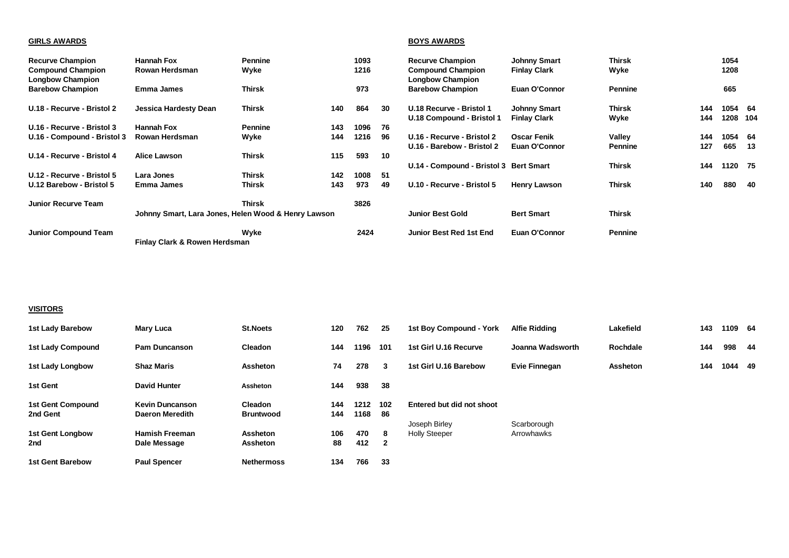### **GIRLS AWARDS BOYS AWARDS**

| <b>Recurve Champion</b><br><b>Compound Champion</b><br><b>Longbow Champion</b> | <b>Hannah Fox</b><br>Rowan Herdsman                 | <b>Pennine</b><br>Wyke |     | 1093<br>1216 |     | <b>Recurve Champion</b><br><b>Compound Champion</b><br><b>Longbow Champion</b> | <b>Johnny Smart</b><br><b>Finlay Clark</b> | Thirsk<br>Wyke    |            | 1054<br>1208        |      |
|--------------------------------------------------------------------------------|-----------------------------------------------------|------------------------|-----|--------------|-----|--------------------------------------------------------------------------------|--------------------------------------------|-------------------|------------|---------------------|------|
| <b>Barebow Champion</b>                                                        | <b>Emma James</b>                                   | <b>Thirsk</b>          |     | 973          |     | <b>Barebow Champion</b>                                                        | Euan O'Connor                              | <b>Pennine</b>    |            | 665                 |      |
| U.18 - Recurve - Bristol 2                                                     | Jessica Hardesty Dean                               | Thirsk                 | 140 | 864          | 30  | U.18 Recurve - Bristol 1<br>U.18 Compound - Bristol 1                          | <b>Johnny Smart</b><br><b>Finlay Clark</b> | Thirsk<br>Wyke    | 144<br>144 | 1054 64<br>1208 104 |      |
| U.16 - Recurve - Bristol 3                                                     | Hannah Fox                                          | <b>Pennine</b>         | 143 | 1096         | 76  |                                                                                |                                            |                   |            |                     |      |
| U.16 - Compound - Bristol 3                                                    | Rowan Herdsman                                      | Wyke                   | 144 | 1216         | 96  | U.16 - Recurve - Bristol 2<br>U.16 - Barebow - Bristol 2                       | <b>Oscar Fenik</b><br>Euan O'Connor        | Vallev<br>Pennine | 144<br>127 | 1054 64<br>665      | - 13 |
| U.14 - Recurve - Bristol 4                                                     | Alice Lawson                                        | <b>Thirsk</b>          | 115 | 593          | 10  |                                                                                |                                            |                   |            |                     |      |
|                                                                                |                                                     |                        |     |              |     | U.14 - Compound - Bristol 3 Bert Smart                                         |                                            | Thirsk            | 144        | 1120 75             |      |
| U.12 - Recurve - Bristol 5                                                     | Lara Jones                                          | Thirsk                 | 142 | 1008         | -51 |                                                                                |                                            |                   |            |                     |      |
| U.12 Barebow - Bristol 5                                                       | Emma James                                          | <b>Thirsk</b>          | 143 | 973          | 49  | U.10 - Recurve - Bristol 5                                                     | <b>Henry Lawson</b>                        | <b>Thirsk</b>     | 140        | 880                 | - 40 |
| <b>Junior Recurve Team</b>                                                     |                                                     | Thirsk                 |     | 3826         |     |                                                                                |                                            |                   |            |                     |      |
|                                                                                | Johnny Smart, Lara Jones, Helen Wood & Henry Lawson |                        |     |              |     | <b>Junior Best Gold</b>                                                        | <b>Bert Smart</b>                          | Thirsk            |            |                     |      |
| <b>Junior Compound Team</b>                                                    | Finlay Clark & Rowen Herdsman                       | Wyke                   |     | 2424         |     | Junior Best Red 1st End                                                        | Euan O'Connor                              | <b>Pennine</b>    |            |                     |      |

#### **VISITORS**

| <b>1st Lady Barebow</b>              | Mary Luca                                        | <b>St.Noets</b>                    | 120        | 762          | 25           | 1st Boy Compound - York                    | Alfie Ridding    | Lakefield | 143 | 1109 64 |      |
|--------------------------------------|--------------------------------------------------|------------------------------------|------------|--------------|--------------|--------------------------------------------|------------------|-----------|-----|---------|------|
| 1st Lady Compound                    | <b>Pam Duncanson</b>                             | Cleadon                            | 144        | 1196         | 101          | 1st Girl U.16 Recurve                      | Joanna Wadsworth | Rochdale  | 144 | 998     | - 44 |
| 1st Lady Longbow                     | <b>Shaz Maris</b>                                | <b>Assheton</b>                    | 74         | 278          | 3            | 1st Girl U.16 Barebow                      | Evie Finnegan    | Assheton  | 144 | 1044 49 |      |
| 1st Gent                             | <b>David Hunter</b>                              | Assheton                           | 144        | 938          | -38          |                                            |                  |           |     |         |      |
| <b>1st Gent Compound</b><br>2nd Gent | <b>Kevin Duncanson</b><br><b>Daeron Meredith</b> | <b>Cleadon</b><br><b>Bruntwood</b> | 144<br>144 | 1212<br>1168 | 102<br>- 86  | Entered but did not shoot<br>Joseph Birley | Scarborough      |           |     |         |      |
| <b>1st Gent Longbow</b>              | <b>Hamish Freeman</b>                            | Assheton                           | 106        | 470          | 8            | <b>Holly Steeper</b>                       | Arrowhawks       |           |     |         |      |
| 2nd                                  | Dale Message                                     | Assheton                           | 88         | 412          | $\mathbf{2}$ |                                            |                  |           |     |         |      |
| <b>1st Gent Barebow</b>              | <b>Paul Spencer</b>                              | <b>Nethermoss</b>                  | 134        | 766          | 33           |                                            |                  |           |     |         |      |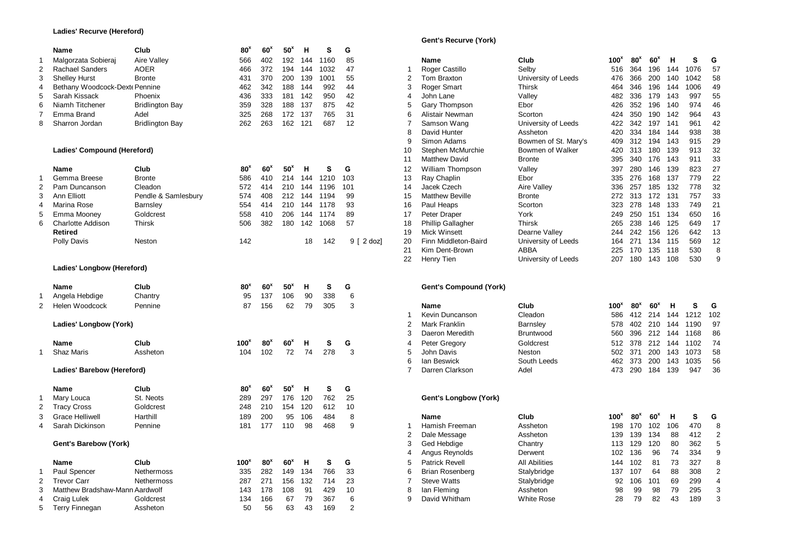#### **Ladies' Recurve (Hereford)**

|                | Name                           | Club                   | 80 <sup>8</sup>  | 60 <sup>x</sup> | 50*             | н   | s    | G               |                         |                               |                      |                  |                 |                 |     |          |     |
|----------------|--------------------------------|------------------------|------------------|-----------------|-----------------|-----|------|-----------------|-------------------------|-------------------------------|----------------------|------------------|-----------------|-----------------|-----|----------|-----|
| $\mathbf{1}$   | Malgorzata Sobieraj            | <b>Aire Valley</b>     | 566              | 402             | 192             | 144 | 1160 | 85              |                         | Name                          | Club                 | 100 <sup>x</sup> | 80 <sup>x</sup> | 60 <sup>x</sup> | н   | s        | G   |
| $\overline{2}$ | <b>Rachael Sanders</b>         | <b>AOER</b>            | 466              | 372             | 194             | 144 | 1032 | 47              | -1                      | Roger Castillo                | Selby                | 516              | 364             | 196             | 144 | 1076     | 57  |
| 3              | <b>Shelley Hurst</b>           | <b>Bronte</b>          | 431              | 370             | 200             | 139 | 1001 | 55              | $\overline{2}$          | Tom Braxton                   | University of Leeds  | 476              | 366             | 200             | 140 | 1042     | 58  |
| 4              | Bethany Woodcock-Dext Pennine  |                        | 462              | 342             | 188             | 144 | 992  | 44              | 3                       | Roger Smart                   | Thirsk               | 464              | 346             | 196             | 144 | 1006     | 49  |
| 5              | Sarah Kissack                  | Phoenix                | 436              | 333             | 181             | 142 | 950  | 42              | $\overline{4}$          | John Lane                     | Valley               | 482              | 336             | 179             | 143 | 997      | 55  |
| 6              | Niamh Titchener                | <b>Bridlington Bay</b> | 359              | 328             | 188             | 137 | 875  | 42              | 5                       | Gary Thompson                 | Ebor                 | 426              | 352             | 196             | 140 | 974      | 46  |
| 7              | Emma Brand                     | Adel                   | 325              | 268             | 172             | 137 | 765  | 31              | 6                       | Alistair Newman               | Scorton              | 424              | 350             | 190             | 142 | 964      | 43  |
| 8              | Sharron Jordan                 | <b>Bridlington Bay</b> | 262              | 263             | 162             | 121 | 687  | 12              | 7                       | Samson Wang                   | University of Leeds  | 422              | 342             | 197             | 141 | 961      | 42  |
|                |                                |                        |                  |                 |                 |     |      |                 | 8                       | David Hunter                  | Assheton             | 420              | 334             | 184             | 144 | 938      | 38  |
|                |                                |                        |                  |                 |                 |     |      |                 | 9                       | Simon Adams                   | Bowmen of St. Mary's | 409              | 312             | 194             | 143 | 915      | 29  |
|                | Ladies' Compound (Hereford)    |                        |                  |                 |                 |     |      |                 | 10                      | Stephen McMurchie             | Bowmen of Walker     | 420              | 313             | 180             | 139 | 913      | 32  |
|                |                                |                        |                  |                 |                 |     |      |                 | 11                      | <b>Matthew David</b>          | <b>Bronte</b>        | 395              | 340             | 176             | 143 | 911      | 33  |
|                | <b>Name</b>                    | Club                   | 80 <sup>x</sup>  | 60 <sup>x</sup> | 50 <sup>x</sup> | н   | s    | G               | 12                      | William Thompson              | Valley               | 397              | 280             | 146             | 139 | 823      | 27  |
| $\mathbf{1}$   | Gemma Breese                   | <b>Bronte</b>          | 586              | 410             | 214             | 144 | 1210 | 103             | 13                      | Ray Chaplin                   | Ebor                 | 335              | 276             | 168             | 137 | 779      | 22  |
| $\overline{2}$ | Pam Duncanson                  | Cleadon                | 572              | 414             | 210             | 144 | 1196 | 101             | 14                      | Jacek Czech                   | Aire Valley          | 336              | 257             | 185             | 132 | 778      | 32  |
| 3              | Ann Elliott                    | Pendle & Samlesbury    | 574              | 408             | 212             | 144 | 1194 | 99              | 15                      | <b>Matthew Beville</b>        | <b>Bronte</b>        | 272              | 313             | 172             | 131 | 757      | 33  |
| 4              | Marina Rose                    | Barnsley               | 554              | 414             | 210             | 144 | 1178 | 93              | 16                      | Paul Heaps                    | Scorton              | 323              | 278             | 148             | 133 | 749      | 21  |
| 5              | Emma Mooney                    | Goldcrest              | 558              | 410             | 206             | 144 | 1174 | 89              | 17                      | Peter Draper                  | York                 | 249              | 250             | 151             | 134 | 650      | 16  |
| 6              | <b>Charlotte Addison</b>       | <b>Thirsk</b>          | 506              | 382             | 180             | 142 | 1068 | 57              | 18                      | <b>Phillip Gallagher</b>      | <b>Thirsk</b>        | 265              | 238             | 146             | 125 | 649      | 17  |
|                | <b>Retired</b>                 |                        |                  |                 |                 |     |      |                 | 19                      | <b>Mick Winsett</b>           | Dearne Valley        | 244              | 242             | 156             | 126 | 642      | 13  |
|                | Polly Davis                    | Neston                 | 142              |                 |                 | 18  | 142  | $9 \mid 2$ dozl | 20                      | Finn Middleton-Baird          | University of Leeds  | 164              | 271             | 134             | 115 | 569      | 12  |
|                |                                |                        |                  |                 |                 |     |      |                 | 21                      | Kim Dent-Brown                | <b>ABBA</b>          | 225              | 170             | 135             | 118 | 530      | 8   |
|                |                                |                        |                  |                 |                 |     |      |                 | 22                      | Henry Tien                    | University of Leeds  | 207              | 180             | 143             | 108 | 530      | g   |
|                | Ladies' Longbow (Hereford)     |                        |                  |                 |                 |     |      |                 |                         |                               |                      |                  |                 |                 |     |          |     |
|                | Name                           | Club                   | 80 <sup>×</sup>  | 60 <sup>x</sup> | 50 <sup>x</sup> | н   | s    | G               |                         | <b>Gent's Compound (York)</b> |                      |                  |                 |                 |     |          |     |
| 1              | Angela Hebdige                 | Chantry                | 95               | 137             | 106             | 90  | 338  | 6               |                         |                               |                      |                  |                 |                 |     |          |     |
| $\overline{2}$ | Helen Woodcock                 | Pennine                | 87               | 156             | 62              | 79  | 305  | 3               |                         | <b>Name</b>                   | Club                 | 100 <sup>x</sup> | 80 <sup>x</sup> | 60 <sup>x</sup> | н   | s        | G   |
|                |                                |                        |                  |                 |                 |     |      |                 | 1                       | Kevin Duncanson               | Cleadon              | 586              |                 | 412 214         | 144 | 1212     | 102 |
|                | Ladies' Longbow (York)         |                        |                  |                 |                 |     |      |                 | $\overline{2}$          | <b>Mark Franklin</b>          | <b>Barnsley</b>      | 578              | 402             | 210             | 144 | 1190     | 97  |
|                |                                |                        |                  |                 |                 |     |      |                 | 3                       | Daeron Meredith               | <b>Bruntwood</b>     | 560              | 396             | 212             | 144 | 1168     | 86  |
|                | Name                           | Club                   | 100 <sup>x</sup> | 80 <sup>x</sup> | 60 <sup>x</sup> | н   | s    | G               | 4                       | Peter Gregory                 | Goldcrest            | 512              | 378             | 212             | 144 | 1102     | 74  |
| $\mathbf{1}$   | <b>Shaz Maris</b>              | Assheton               | 104              | 102             | 72              | 74  | 278  | 3               | 5                       | John Davis                    | Neston               | 502              | 371             | 200             |     | 143 1073 | 58  |
|                |                                |                        |                  |                 |                 |     |      |                 | 6                       | lan Beswick                   | South Leeds          | 462              | 373             | 200             | 143 | 1035     | 56  |
|                | Ladies' Barebow (Hereford)     |                        |                  |                 |                 |     |      |                 | 7                       | Darren Clarkson               | Adel                 | 473              | 290             | 184             | 139 | 947      | 36  |
|                |                                |                        |                  |                 |                 |     |      |                 |                         |                               |                      |                  |                 |                 |     |          |     |
|                | Name                           | Club                   | 80 <sup>x</sup>  | 60 <sup>x</sup> | 50 <sup>x</sup> | н   | s    | G               |                         |                               |                      |                  |                 |                 |     |          |     |
| -1             | Mary Louca                     | St. Neots              | 289              | 297             | 176             | 120 | 762  | 25              |                         | Gent's Longbow (York)         |                      |                  |                 |                 |     |          |     |
| 2              | <b>Tracy Cross</b>             | Goldcrest              | 248              | 210             | 154             | 120 | 612  | 10              |                         |                               |                      |                  |                 |                 |     |          |     |
| 3              | <b>Grace Helliwell</b>         | Harthill               | 189              | 200             | 95              | 106 | 484  | 8               |                         | Name                          | Club                 | 100 <sup>x</sup> | 80 <sup>x</sup> | 60 <sup>x</sup> | н   | S        | G   |
| $\overline{4}$ | Sarah Dickinson                | Pennine                | 181              | 177             | 110             | 98  | 468  | 9               | -1                      | Hamish Freeman                | Assheton             | 198              | 170             | 102             | 106 | 470      | 8   |
|                |                                |                        |                  |                 |                 |     |      |                 | 2                       | Dale Message                  | Assheton             | 139              | 139             | 134             | 88  | 412      | 2   |
|                | Gent's Barebow (York)          |                        |                  |                 |                 |     |      |                 | 3                       | Ged Hebdige                   | Chantry              | 113              | 129             | 120             | 80  | 362      |     |
|                |                                |                        |                  |                 |                 |     |      |                 | $\overline{\mathbf{4}}$ | Angus Reynolds                | Derwent              | 102              | 136             | 96              | 74  | 334      |     |
|                | Name                           | Club                   | 100 <sup>x</sup> | 80 <sup>x</sup> | 60 <sup>x</sup> | н   | s    | G               | 5                       | <b>Patrick Revell</b>         | <b>All Abilities</b> | 144              | 102             | 81              | 73  | 327      |     |
| -1             | Paul Spencer                   | <b>Nethermoss</b>      | 335              | 282             | 149             | 134 | 766  | 33              | 6                       | <b>Brian Rosenberg</b>        | Stalybridge          | 137              | 107             | 64              | 88  | 308      |     |
| $\overline{2}$ | <b>Trevor Carr</b>             | <b>Nethermoss</b>      | 287              | 271             | 156             | 132 | 714  | 23              | $\overline{7}$          | <b>Steve Watts</b>            | Stalybridge          | 92               | 106             | 101             | 69  | 299      |     |
| 3              | Matthew Bradshaw-Mann Aardwolf |                        | 143              | 178             | 108             | 91  | 429  | 10              | 8                       | lan Fleming                   | Assheton             | 98               | 99              | 98              | 79  | 295      |     |
| 4              | <b>Craig Lulek</b>             | Goldcrest              | 134              | 166             | 67              | 79  | 367  | 6               | 9                       | David Whitham                 | <b>White Rose</b>    | 28               | 79              | 82              | 43  | 189      | 3   |
| 5              | <b>Terry Finnegan</b>          | Assheton               | 50               | 56              | 63              | 43  | 169  | $\overline{2}$  |                         |                               |                      |                  |                 |                 |     |          |     |
|                |                                |                        |                  |                 |                 |     |      |                 |                         |                               |                      |                  |                 |                 |     |          |     |

### **Gent's Recurve (York)**

| 192             | 144 | 1160 | 85                     |    | Name                   | Club                 | 100 <sup>x</sup> | 80 <sup>x</sup> | 60 <sup>x</sup> | н   | s    | G  |
|-----------------|-----|------|------------------------|----|------------------------|----------------------|------------------|-----------------|-----------------|-----|------|----|
| 194             | 144 | 1032 | 47                     |    | Roger Castillo         | Selby                | 516              | 364             | 196             | 144 | 1076 | 57 |
| 200             | 139 | 1001 | 55                     | 2  | Tom Braxton            | University of Leeds  | 476              | 366             | 200             | 140 | 1042 | 58 |
| 188             | 144 | 992  | 44                     | 3  | Roger Smart            | Thirsk               | 464              | 346             | 196             | 144 | 1006 | 49 |
| 181             | 142 | 950  | 42                     | 4  | John Lane              | Valley               | 482              | 336             | 179             | 143 | 997  | 55 |
| 188             | 137 | 875  | 42                     | 5  | Gary Thompson          | Ebor                 | 426              | 352             | 196             | 140 | 974  | 46 |
| 172             | 137 | 765  | 31                     | 6  | Alistair Newman        | Scorton              | 424              | 350             | 190             | 142 | 964  | 43 |
| 162             | 121 | 687  | 12                     |    | Samson Wang            | University of Leeds  | 422              | 342             | 197             | 141 | 961  | 42 |
|                 |     |      |                        | 8  | David Hunter           | Assheton             | 420              | 334             | 184             | 144 | 938  | 38 |
|                 |     |      |                        | 9  | Simon Adams            | Bowmen of St. Mary's | 409              | 312             | 194             | 143 | 915  | 29 |
|                 |     |      |                        | 10 | Stephen McMurchie      | Bowmen of Walker     | 420              | 313             | 180             | 139 | 913  | 32 |
|                 |     |      |                        | 11 | <b>Matthew David</b>   | <b>Bronte</b>        | 395              | 340             | 176             | 143 | 911  | 33 |
| 50 <sup>x</sup> | н   | s    | G                      | 12 | William Thompson       | Valley               | 397              | 280             | 146             | 139 | 823  | 27 |
| 214             | 144 | 1210 | 103                    | 13 | Ray Chaplin            | Ebor                 | 335              | 276             | 168             | 137 | 779  | 22 |
| 210             | 144 | 1196 | 101                    | 14 | Jacek Czech            | Aire Valley          | 336              | 257             | 185             | 132 | 778  | 32 |
| 212             | 144 | 1194 | 99                     | 15 | <b>Matthew Beville</b> | <b>Bronte</b>        | 272              | 313             | 172             | 131 | 757  | 33 |
| 210             | 144 | 1178 | 93                     | 16 | Paul Heaps             | Scorton              | 323              | 278             | 148             | 133 | 749  | 21 |
| 206             | 144 | 1174 | 89                     | 17 | Peter Draper           | York                 | 249              | 250             | 151             | 134 | 650  | 16 |
| 180             | 142 | 1068 | 57                     | 18 | Phillip Gallagher      | <b>Thirsk</b>        | 265              | 238             | 146             | 125 | 649  | 17 |
|                 |     |      |                        | 19 | Mick Winsett           | Dearne Valley        | 244              | 242             | 156             | 126 | 642  | 13 |
|                 | 18  | 142  | $9 \mid 2 \text{ doz}$ | 20 | Finn Middleton-Baird   | University of Leeds  | 164              | 271             | 134             | 115 | 569  | 12 |
|                 |     |      |                        | 21 | Kim Dent-Brown         | ABBA                 | 225              | 170             | 135             | 118 | 530  | 8  |
|                 |     |      |                        | 22 | Henry Tien             | University of Leeds  | 207              | 180             | 143             | 108 | 530  | 9  |
|                 |     |      |                        |    |                        |                      |                  |                 |                 |     |      |    |

#### **<sup>x</sup> H S G Gent's Compound (York)**

| 62              | 79 | 305 |   |   | Name            | Club             | $100^$ | 80 <sup>x</sup> | 60 <sup>x</sup> | н   |      | G   |
|-----------------|----|-----|---|---|-----------------|------------------|--------|-----------------|-----------------|-----|------|-----|
|                 |    |     |   |   | Kevin Duncanson | Cleadon          | 586    | 412 214         |                 | 144 | 1212 | 102 |
|                 |    |     |   |   | Mark Franklin   | <b>Barnsley</b>  | 578    | 402 210         |                 | 144 | 1190 | 97  |
|                 |    |     |   |   | Daeron Meredith | <b>Bruntwood</b> |        |                 | 560 396 212     | 144 | 1168 | 86  |
| 60 <sup>x</sup> | н  | s   | G | 4 | Peter Gregory   | Goldcrest        |        | 512 378         | 212             | 144 | 1102 | 74  |
| 72              | 74 | 278 |   | 5 | John Davis      | Neston           | 502    | - 371           | 200             | 143 | 1073 | 58  |
|                 |    |     |   | 6 | Ian Beswick     | South Leeds      | 462    | 373             | 200             | 143 | 1035 | 56  |
|                 |    |     |   |   | Darren Clarkson | Adel             | 473    | 290             | 184             | 139 | 947  | 36  |

### **Gent's Longbow (York)**

| 95              | 106 | 484 | 8  |   | Name                   | Club                 | $100^x$ | 80 <sup>x</sup> | 60 <sup>x</sup> | н   | s   | G |
|-----------------|-----|-----|----|---|------------------------|----------------------|---------|-----------------|-----------------|-----|-----|---|
| 110             | 98  | 468 | 9  |   | Hamish Freeman         | Assheton             | 198     | 170             | 102             | 106 | 470 | 8 |
|                 |     |     |    |   | Dale Message           | Assheton             | 139     | 139             | 134             | 88  | 412 | 2 |
|                 |     |     |    |   | Ged Hebdige            | Chantry              | 113     | 129             | 120             | 80  | 362 | 5 |
|                 |     |     |    | 4 | Angus Reynolds         | Derwent              | 102     | 136             | 96              | 74  | 334 | 9 |
| 60 <sup>x</sup> | н   |     | G  | 5 | <b>Patrick Revell</b>  | <b>All Abilities</b> | 144     | 102             | 81              | 73  | 327 | 8 |
| 149             | 134 | 766 | 33 | 6 | <b>Brian Rosenberg</b> | Stalybridge          | 137     | 107             | 64              | 88  | 308 | 2 |
| 156             | 132 | 714 | 23 |   | <b>Steve Watts</b>     | Stalybridge          | 92      | 106             | 101             | 69  | 299 | 4 |
| 108             | 91  | 429 | 10 | 8 | lan Fleming            | Assheton             | 98      | 99              | 98              | 79  | 295 | 3 |
| 67              | 79  | 367 | 6  | 9 | David Whitham          | <b>White Rose</b>    | 28      | 79              | 82              | 43  | 189 | 3 |
|                 |     |     |    |   |                        |                      |         |                 |                 |     |     |   |